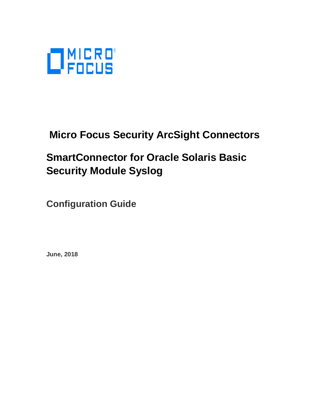

# **Micro Focus Security ArcSight Connectors**

# **SmartConnector for Oracle Solaris Basic Security Module Syslog**

**Configuration Guide**

**June, 2018**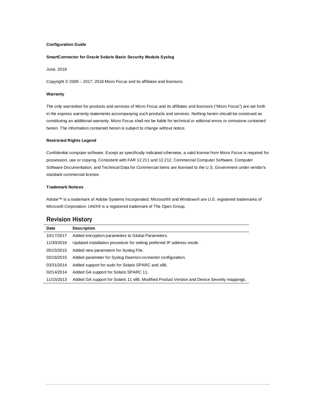#### **Configuration Guide**

#### **SmartConnector for Oracle Solaris Basic Security Module Syslog**

June, 2018

Copyright © 2009 – 2017; 2018 Micro Focus and its affiliates and licensors.

#### **Warranty**

The only warranties for products and services of Micro Focus and its affiliates and licensors ("Micro Focus") are set forth in the express warranty statements accompanying such products and services. Nothing herein should be construed as constituting an additional warranty. Micro Focus shall not be liable for technical or editorial errors or omissions contained herein. The information contained herein is subject to change without notice.

#### **Restricted Rights Legend**

Confidential computer software. Except as specifically indicated otherwise, a valid license from Micro Focus is required for possession, use or copying. Consistent with FAR 12.211 and 12.212, Commercial Computer Software, Computer Software Documentation, and Technical Data for Commercial Items are licensed to the U.S. Government under vendor's standard commercial license.

#### **Trademark Notices**

Adobe™ is a trademark of Adobe Systems Incorporated. Microsoft® and Windows® are U.S. registered trademarks of Microsoft Corporation. UNIX® is a registered trademark of The Open Group.

### Revision History

| Date       | <b>Description</b>                                                                          |
|------------|---------------------------------------------------------------------------------------------|
| 10/17/2017 | Added encryption parameters to Global Parameters.                                           |
| 11/30/2016 | Updated installation procedure for setting preferred IP address mode.                       |
| 05/15/2015 | Added new parameters for Syslog File.                                                       |
| 02/16/2015 | Added parameter for Syslog Daemon connector configuration.                                  |
| 03/31/2014 | Added support for sudo for Solaris SPARC and x86.                                           |
| 02/14/2014 | Added GA support for Solaris SPARC 11.                                                      |
| 11/15/2013 | Added GA support for Solaris 11 x86. Modified Product Version and Device Severity mappings. |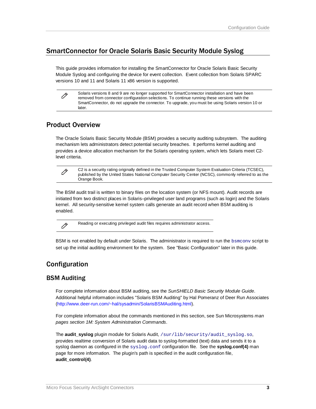# SmartConnector for Oracle Solaris Basic Security Module Syslog

This guide provides information for installing the SmartConnector for Oracle Solaris Basic Security Module Syslog and configuring the device for event collection. Event collection from Solaris SPARC versions 10 and 11 and Solaris 11 x86 version is supported.

Solaris versions 8 and 9 are no longer supported for SmartConnector installation and have been removed from connector configuration selections. To continue running these versions with the SmartConnector, do not upgrade the connector. To upgrade, you must be using Solaris version 10 or later.

# Product Overview

Ò

Ò

Ò

The Oracle Solaris Basic Security Module (BSM) provides a security auditing subsystem. The auditing mechanism lets administrators detect potential security breaches. It performs kernel auditing and provides a device allocation mechanism for the Solaris operating system, which lets Solaris meet C2 level criteria.

C2 is a security rating originally defined in the Trusted Computer System Evaluation Criteria (TCSEC), published by the United States National Computer Security Center (NCSC), commonly referred to as the Orange Book.

The BSM audit trail is written to binary files on the location system (or NFS mount). Audit records are initiated from two distinct places in Solaris–privileged user land programs (such as login) and the Solaris kernel. All security-sensitive kernel system calls generate an audit record when BSM auditing is enabled.

Reading or executing privileged audit files requires administrator access.

BSM is not enabled by default under Solaris. The administrator is required to run the **bsmconv** script to set up the initial auditing environment for the system. See "Basic Configuration" later in this guide.

# Configuration

# BSM Auditing

For complete information about BSM auditing, see the *SunSHIELD Basic Security Module Guide*. Additional helpful information includes "Solaris BSM Auditing" by Hal Pomeranz of Deer Run Associates [\(http://www.deer-run.com/~hal/sysadmin/SolarisBSMAuditing.html\)](http://www.deer-run.com/%7Ehal/sysadmin/SolarisBSMAuditing.html).

For complete information about the commands mentioned in this section, see Sun Microsystems *man pages section 1M: System Administration Commands*.

The **audit\_syslog** plugin module for Solaris Audit, /sur/lib/security/audit\_syslog.so, provides realtime conversion of Solaris audit data to syslog-formatted (text) data and sends it to a syslog daemon as configured in the syslog.conf configuration file. See the **syslog.conf(4)** man page for more information. The plugin's path is specified in the audit configuration file, **audit\_control(4)**.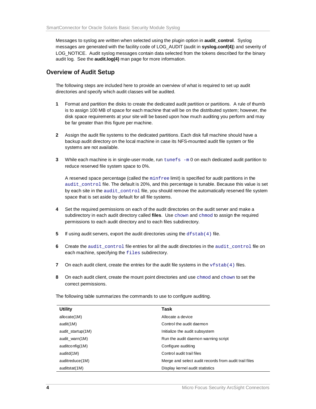Messages to syslog are written when selected using the plugin option in **audit\_control**. Syslog messages are generated with the facility code of LOG\_AUDIT (audit in **syslog.conf(4)**) and severity of LOG\_NOTICE. Audit syslog messages contain data selected from the tokens described for the binary audit log. See the **audit.log(4)** man page for more information.

# Overview of Audit Setup

The following steps are included here to provide an overview of what is required to set up audit directories and specify which audit classes will be audited.

- **1** Format and partition the disks to create the dedicated audit partition or partitions. A rule of thumb is to assign 100 MB of space for each machine that will be on the distributed system; however, the disk space requirements at your site will be based upon how much auditing you perform and may be far greater than this figure per machine.
- **2** Assign the audit file systems to the dedicated partitions. Each disk full machine should have a backup audit directory on the local machine in case its NFS-mounted audit file system or file systems are not available.
- **3** While each machine is in single-user mode, run tunefs -m 0 on each dedicated audit partition to reduce reserved file system space to 0%.

A reserved space percentage (called the minfree limit) is specified for audit partitions in the audit\_control file. The default is 20%, and this percentage is tunable. Because this value is set by each site in the audit\_control file, you should remove the automatically reserved file system space that is set aside by default for all file systems.

- **4** Set the required permissions on each of the audit directories on the audit server and make a subdirectory in each audit directory called **files**. Use chown and chmod to assign the required permissions to each audit directory and to each files subdirectory.
- **5** If using audit servers, export the audit directories using the dfstab(4) file.
- **6** Create the audit control file entries for all the audit directories in the audit control file on each machine, specifying the files subdirectory.
- **7** On each audit client, create the entries for the audit file systems in the  $v$  f stab(4) files.
- **8** On each audit client, create the mount point directories and use chmod and chown to set the correct permissions.

The following table summarizes the commands to use to configure auditing.

| <b>Utility</b>    | Task                                                  |
|-------------------|-------------------------------------------------------|
| allocate(1M)      | Allocate a device                                     |
| audit(1M)         | Control the audit daemon                              |
| audit_startup(1M) | Initialize the audit subsystem                        |
| audit warn(1M)    | Run the audit daemon warning script                   |
| auditconfig(1M)   | Configure auditing                                    |
| auditd(1M)        | Control audit trail files                             |
| auditreduce(1M)   | Merge and select audit records from audit trail files |
| auditstat(1M)     | Display kernel audit statistics                       |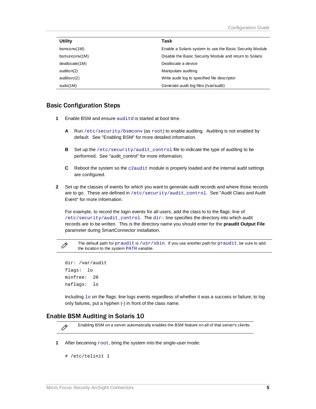| <b>Utility</b>  | Task                                                     |
|-----------------|----------------------------------------------------------|
| bsmconv(1M)     | Enable a Solaris system to use the Basic Security Module |
| bsmunconv(1M)   | Disable the Basic Security Module and return to Solaris  |
| deallocate (1M) | Deallocate a device                                      |
| auditon(2)      | Manipulate auditing                                      |
| auditsvc(2)     | Write audit log to specified file descriptor             |
| sudo(1M)        | Generate audit log files (/var/audit)                    |

### Basic Configuration Steps

- **1** Enable BSM and ensure auditd is started at boot time.
	- **A** Run /etc/security/bsmconv (as root) to enable auditing. Auditing is not enabled by default. See "Enabling BSM" for more detailed information.
	- **B** Set up the /etc/security/audit\_control file to indicate the type of auditing to be performed. See "audit\_control" for more information.
	- **C** Reboot the system so the c2audit module is properly loaded and the internal audit settings are configured.
- **2** Set up the classes of events for which you want to generate audit records and where those records are to go. These are defined in /etc/security/audit\_control. See "Audit Class and Audit Event" for more information.

For example, to record the login events for all users, add the class lo to the flags: line of /etc/security/audit\_control. The dir: line specifies the directory into which audit records are to be written. This is the directory name you should enter for the **praudit Output File** parameter during SmartConnector installation.

The default path for praudit is /usr/sbin. If you use another path for praudit, be sure to add the location to the system PATH variable.

```
dir: /var/audit 
flags: lo 
minfree: 20 
naflags: lo
```
O

O

Including  $1\circ$  on the flags: line logs events regardless of whether it was a success or failure; to log only failures, put a hyphen (-) in front of the class name.

### Enable BSM Auditing in Solaris 10

Enabling BSM on a server automatically enables the BSM feature on all of that server's clients.

**1** After becoming  $root$ , bring the system into the single-user mode:

```
# /etc/telinit 1
```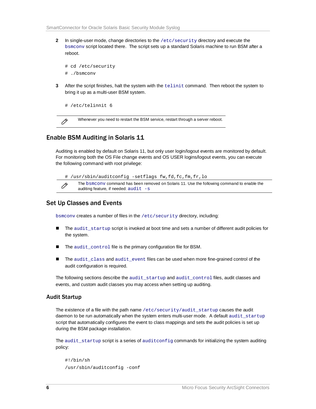**2** In single-user mode, change directories to the /etc/security directory and execute the bsmconv script located there. The script sets up a standard Solaris machine to run BSM after a reboot.

```
# cd /etc/security 
# ./bsmconv
```
**3** After the script finishes, halt the system with the telinit command. Then reboot the system to bring it up as a multi-user BSM system.

```
# /etc/telinnit 6
```

```
Ò
```
Whenever you need to restart the BSM service, restart through a server reboot.

# Enable BSM Auditing in Solaris 11

Auditing is enabled by default on Solaris 11, but only user login/logout events are monitored by default. For monitoring both the OS File change events and OS USER logins/logout events, you can execute the following command with root privilege:



# Set Up Classes and Events

bsmconv creates a number of files in the /etc/security directory, including:

- The audit\_startup script is invoked at boot time and sets a number of different audit policies for the system.
- The audit\_control file is the primary configuration file for BSM.
- The audit class and audit event files can be used when more fine-grained control of the audit configuration is required.

The following sections describe the audit\_startup and audit\_control files, audit classes and events, and custom audit classes you may access when setting up auditing.

#### Audit Startup

The existence of a file with the path name /etc/security/audit\_startup causes the audit daemon to be run automatically when the system enters multi-user mode. A default audit\_startup script that automatically configures the event to class mappings and sets the audit policies is set up during the BSM package installation.

The audit\_startup script is a series of auditconfig commands for initializing the system auditing policy:

```
#!/bin/sh 
/usr/sbin/auditconfig -conf
```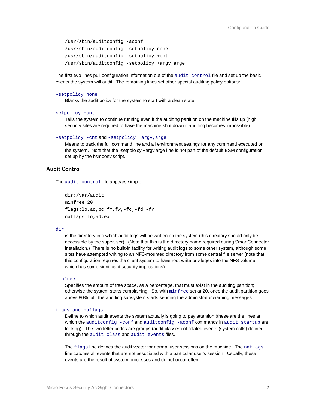```
/usr/sbin/auditconfig -aconf 
/usr/sbin/auditconfig -setpolicy none 
/usr/sbin/auditconfig -setpolicy +cnt 
/usr/sbin/auditconfig -setpolicy +argv,arge
```
The first two lines pull configuration information out of the audit\_control file and set up the basic events the system will audit. The remaining lines set other special auditing policy options:

#### -setpolicy none

Blanks the audit policy for the system to start with a clean slate

```
setpolicy +cnt
```
Tells the system to continue running even if the auditing partition on the machine fills up (high security sites are required to have the machine shut down if auditing becomes impossible)

```
-setpolicy -cnt and -setpolicy +argv,arge
```
Means to track the full command line and all environment settings for any command executed on the system. Note that the -setpoloicy +argv,arge line is not part of the default BSM configuration set up by the bsmconv script.

### Audit Control

The audit\_control file appears simple:

```
dir:/var/audit 
minfree:20 
flags:lo,ad,pc,fm,fw,-fc,-fd,-fr 
naflags:lo,ad,ex
```
#### dir

is the directory into which audit logs will be written on the system (this directory should only be accessible by the superuser). (Note that this is the directory name required during SmartConnector installation.) There is no built-in facility for writing audit logs to some other system, although some sites have attempted writing to an NFS-mounted directory from some central file server (note that this configuration requires the client system to have root write privileges into the NFS volume, which has some significant security implications).

#### minfree

Specifies the amount of free space, as a percentage, that must exist in the auditing partition; otherwise the system starts complaining. So, with minfree set at 20, once the audit partition goes above 80% full, the auditing subsystem starts sending the administrator warning messages.

#### flags and naflags

Define to which audit events the system actually is going to pay attention (these are the lines at which the auditconfig -conf and auditconfig -aconf commands in audit\_startup are looking). The two letter codes are groups (audit classes) of related events (system calls) defined through the audit\_class and audit\_events files.

The flags line defines the audit vector for normal user sessions on the machine. The naflags line catches all events that are not associated with a particular user's session. Usually, these events are the result of system processes and do not occur often.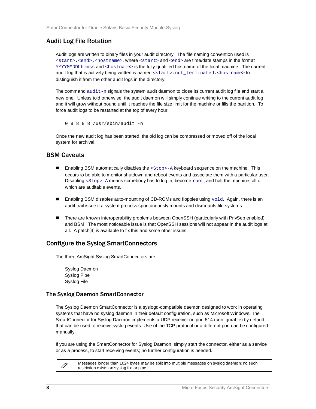# Audit Log File Rotation

Audit logs are written to binary files in your audit directory. The file naming convention used is <start>.<end>.<hostname>, where <start> and <end> are time/date stamps in the format YYYYMMDDhhmmss and <hostname> is the fully-qualified hostname of the local machine. The current audit log that is actively being written is named <start>.not\_terminated.<hostname> to distinguish it from the other audit logs in the directory.

The command audit-n signals the system audit daemon to close its current audit log file and start a new one. Unless told otherwise, the audit daemon will simply continue writing to the current audit log and it will grow without bound until it reaches the file size limit for the machine or fills the partition. To force audit logs to be restarted at the top of every hour:

0 8 8 8 8 /usr/sbin/audit -n

Once the new audit log has been started, the old log can be compressed or moved off of the local system for archival.

### BSM Caveats

- **Enabling BSM automatically disables the <stop>-A keyboard sequence on the machine. This** occurs to be able to monitor shutdown and reboot events and associate them with a particular user. Disabling <Stop>-A means somebody has to log in, become root, and halt the machine, all of which are auditable events.
- **Enabling BSM disables auto-mounting of CD-ROMs and floppies using**  $\text{vol}$ d. Again, there is an audit trail issue if a system process spontaneously mounts and dismounts file systems.
- There are known interoperability problems between OpenSSH (particularly with PrivSep enabled) and BSM. The most noticeable issue is that OpenSSH sessions will not appear in the audit logs at all. A patch[4] is available to fix this and some other issues.

# Configure the Syslog SmartConnectors

The three ArcSight Syslog SmartConnectors are:

Syslog Daemon Syslog Pipe Syslog File

### The Syslog Daemon SmartConnector

The Syslog Daemon SmartConnector is a syslogd-compatible daemon designed to work in operating systems that have no syslog daemon in their default configuration, such as Microsoft Windows. The SmartConnector for Syslog Daemon implements a UDP receiver on port 514 (configurable) by default that can be used to receive syslog events. Use of the TCP protocol or a different port can be configured manually.

If you are using the SmartConnector for Syslog Daemon, simply start the connector, either as a service or as a process, to start receiving events; no further configuration is needed.

O

Messages longer than 1024 bytes may be split into multiple messages on syslog daemon; no such restriction exists on syslog file or pipe.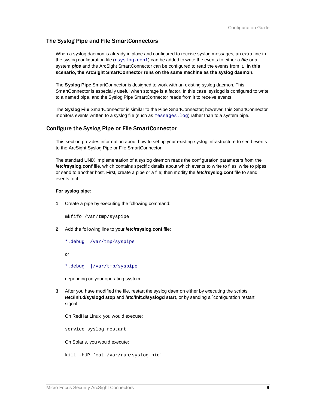### The Syslog Pipe and File SmartConnectors

When a syslog daemon is already in place and configured to receive syslog messages, an extra line in the syslog configuration file (xsyslog.conf) can be added to write the events to either a *file* or a system *pipe* and the ArcSight SmartConnector can be configured to read the events from it. **In this scenario, the ArcSight SmartConnector runs on the same machine as the syslog daemon.**

The **Syslog Pipe** SmartConnector is designed to work with an existing syslog daemon. This SmartConnector is especially useful when storage is a factor. In this case, syslogd is configured to write to a named pipe, and the Syslog Pipe SmartConnector reads from it to receive events.

The **Syslog File** SmartConnector is similar to the Pipe SmartConnector; however, this SmartConnector monitors events written to a syslog file (such as messages. log) rather than to a system pipe.

### Configure the Syslog Pipe or File SmartConnector

This section provides information about how to set up your existing syslog infrastructure to send events to the ArcSight Syslog Pipe or File SmartConnector.

The standard UNIX implementation of a syslog daemon reads the configuration parameters from the **/etc/rsyslog.conf** file, which contains specific details about which events to write to files, write to pipes, or send to another host. First, create a pipe or a file; then modify the **/etc/rsyslog.conf** file to send events to it.

#### **For syslog pipe:**

**1** Create a pipe by executing the following command:

mkfifo /var/tmp/syspipe

- **2** Add the following line to your **/etc/rsyslog.conf** file:
	- \*.debug /var/tmp/syspipe

or

\*.debug |/var/tmp/syspipe

depending on your operating system.

**3** After you have modified the file, restart the syslog daemon either by executing the scripts **/etc/init.d/syslogd stop** and **/etc/init.d/syslogd start**, or by sending a `configuration restart` signal.

On RedHat Linux, you would execute:

service syslog restart

On Solaris, you would execute:

kill -HUP `cat /var/run/syslog.pid´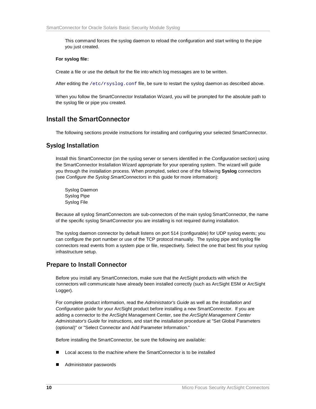This command forces the syslog daemon to reload the configuration and start writing to the pipe you just created.

#### **For syslog file:**

Create a file or use the default for the file into which log messages are to be written.

After editing the /etc/rsyslog.conf file, be sure to restart the syslog daemon as described above.

When you follow the SmartConnector Installation Wizard, you will be prompted for the absolute path to the syslog file or pipe you created.

# Install the SmartConnector

The following sections provide instructions for installing and configuring your selected SmartConnector.

### Syslog Installation

Install this SmartConnector (on the syslog server or servers identified in the *Configuration* section) using the SmartConnector Installation Wizard appropriate for your operating system. The wizard will guide you through the installation process. When prompted, select one of the following **Syslog** connectors (see *Configure the Syslog SmartConnectors* in this guide for more information):

Syslog Daemon Syslog Pipe Syslog File

Because all syslog SmartConnectors are sub-connectors of the main syslog SmartConnector, the name of the specific syslog SmartConnector you are installing is not required during installation.

The syslog daemon connector by default listens on port 514 (configurable) for UDP syslog events; you can configure the port number or use of the TCP protocol manually. The syslog pipe and syslog file connectors read events from a system pipe or file, respectively. Select the one that best fits your syslog infrastructure setup.

# Prepare to Install Connector

Before you install any SmartConnectors, make sure that the ArcSight products with which the connectors will communicate have already been installed correctly (such as ArcSight ESM or ArcSight Logger).

For complete product information, read the *Administrator's Guide* as well as the *Installation and Configuration* guide for your ArcSight product before installing a new SmartConnector. If you are adding a connector to the ArcSight Management Center, see the *ArcSight Management Center Administrator's Guide* for instructions, and start the installation procedure at "Set Global Parameters (optional)" or "Select Connector and Add Parameter Information."

Before installing the SmartConnector, be sure the following are available:

- Local access to the machine where the SmartConnector is to be installed
- Administrator passwords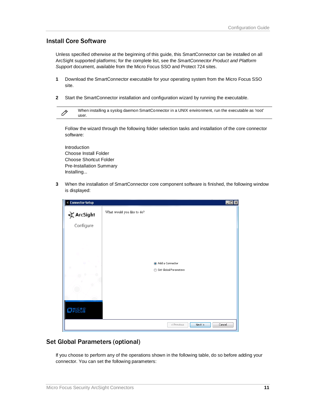# Install Core Software

Unless specified otherwise at the beginning of this guide, this SmartConnector can be installed on all ArcSight supported platforms; for the complete list, see the *SmartConnector Product and Platform Support* document, available from the Micro Focus SSO and Protect 724 sites.

- **1** Download the SmartConnector executable for your operating system from the Micro Focus SSO site.
- **2** Start the SmartConnector installation and configuration wizard by running the executable.

| When installing a syslog daemon SmartConnector in a UNIX environment, run the executable as 'root' |
|----------------------------------------------------------------------------------------------------|
| user.                                                                                              |

Follow the wizard through the following folder selection tasks and installation of the core connector software:

Introduction Choose Install Folder Choose Shortcut Folder Pre-Installation Summary Installing...

**3** When the installation of SmartConnector core component software is finished, the following window is displayed:



# Set Global Parameters (optional)

If you choose to perform any of the operations shown in the following table, do so before adding your connector. You can set the following parameters: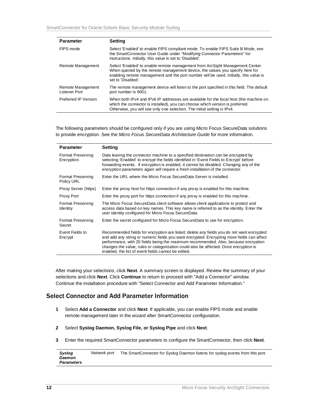| <b>Parameter</b>                   | <b>Setting</b>                                                                                                                                                                                                                                                                |
|------------------------------------|-------------------------------------------------------------------------------------------------------------------------------------------------------------------------------------------------------------------------------------------------------------------------------|
| FIPS mode                          | Select 'Enabled' to enable FIPS compliant mode. To enable FIPS Suite B Mode, see<br>the SmartConnector User Guide under "Modifying Connector Parameters" for<br>instructions. Initially, this value is set to 'Disabled'.                                                     |
| Remote Management                  | Select 'Enabled' to enable remote management from ArcSight Management Center.<br>When queried by the remote management device, the values you specify here for<br>enabling remote management and the port number will be used. Initially, this value is<br>set to 'Disabled'. |
| Remote Management<br>Listener Port | The remote management device will listen to the port specified in this field. The default<br>port number is 9001.                                                                                                                                                             |
| Preferred IP Version               | When both IPv4 and IPv6 IP addresses are available for the local host (the machine on<br>which the connector is installed), you can choose which version is preferred.<br>Otherwise, you will see only one selection. The initial setting is IPv4.                            |

The following parameters should be configured only if you are using Micro Focus SecureData solutions to provide encryption. See the *Micro Focus SecureData Architecture Guide* for more information.

| <b>Parameter</b>                       | <b>Setting</b>                                                                                                                                                                                                                                                                                                                                                                                                                 |
|----------------------------------------|--------------------------------------------------------------------------------------------------------------------------------------------------------------------------------------------------------------------------------------------------------------------------------------------------------------------------------------------------------------------------------------------------------------------------------|
| <b>Format Preserving</b><br>Encryption | Data leaving the connector machine to a specified destination can be encrypted by<br>selecting 'Enabled' to encrypt the fields identified in 'Event Fields to Encrypt' before<br>forwarding events. If encryption is enabled, it cannot be disabled. Changing any of the<br>encryption parameters again will require a fresh installation of the connector.                                                                    |
| <b>Format Preserving</b><br>Policy URL | Enter the URL where the Micro Focus SecureData Server is installed.                                                                                                                                                                                                                                                                                                                                                            |
| Proxy Server (https)                   | Enter the proxy host for https connection if any proxy is enabled for this machine.                                                                                                                                                                                                                                                                                                                                            |
| Proxy Port                             | Enter the proxy port for https connection if any proxy is enabled for this machine.                                                                                                                                                                                                                                                                                                                                            |
| <b>Format Preserving</b><br>Identity   | The Micro Focus SecureData client software allows client applications to protect and<br>access data based on key names. This key name is referred to as the identity. Enter the<br>user identity configured for Micro Focus SecureData.                                                                                                                                                                                        |
| <b>Format Preserving</b><br>Secret     | Enter the secret configured for Micro Focus SecureData to use for encryption.                                                                                                                                                                                                                                                                                                                                                  |
| Event Fields to<br>Encrypt             | Recommended fields for encryption are listed; delete any fields you do not want encrypted<br>and add any string or numeric fields you want encrypted. Encrypting more fields can affect<br>performance, with 20 fields being the maximum recommended. Also, because encryption<br>changes the value, rules or categorization could also be affected. Once encryption is<br>enabled, the list of event fields cannot be edited. |

After making your selections, click **Next**. A summary screen is displayed. Review the summary of your selections and click **Next**. Click **Continue** to return to proceed with "Add a Connector" window. Continue the installation procedure with "Select Connector and Add Parameter Information."

# Select Connector and Add Parameter Information

- **1** Select **Add a Connector** and click **Next**. If applicable, you can enable FIPS mode and enable remote management later in the wizard after SmartConnector configuration.
- **2** Select **Syslog Daemon, Syslog File, or Syslog Pipe** and click **Next**.
- **3** Enter the required SmartConnector parameters to configure the SmartConnector, then click **Next**.

*Syslog Daemon Parameters Network port* The SmartConnector for Syslog Daemon listens for syslog events from this port.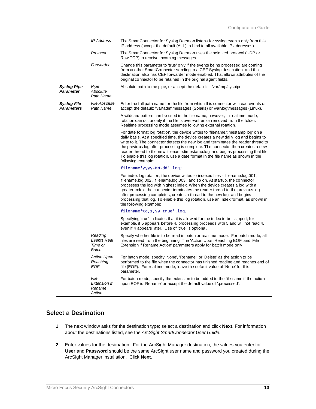|                                         | IP Address                                        | The SmartConnector for Syslog Daemon listens for syslog events only from this<br>IP address (accept the default (ALL) to bind to all available IP addresses).                                                                                                                                                                                                                                                                                                                                                                                  |
|-----------------------------------------|---------------------------------------------------|------------------------------------------------------------------------------------------------------------------------------------------------------------------------------------------------------------------------------------------------------------------------------------------------------------------------------------------------------------------------------------------------------------------------------------------------------------------------------------------------------------------------------------------------|
|                                         | Protocol                                          | The SmartConnector for Syslog Daemon uses the selected protocol (UDP or<br>Raw TCP) to receive incoming messages.                                                                                                                                                                                                                                                                                                                                                                                                                              |
|                                         | Forwarder                                         | Change this parameter to 'true' only if the events being processed are coming<br>from another SmartConnector sending to a CEF Syslog destination, and that<br>destination also has CEF forwarder mode enabled. That allows attributes of the<br>original connector to be retained in the original agent fields.                                                                                                                                                                                                                                |
| Syslog Pipe<br><b>Parameter</b>         | Pipe<br>Absolute<br>Path Name                     | Absolute path to the pipe, or accept the default: /var/tmp/syspipe                                                                                                                                                                                                                                                                                                                                                                                                                                                                             |
| <b>Syslog File</b><br><b>Parameters</b> | <b>File Absolute</b><br>Path Name                 | Enter the full path name for the file from which this connector will read events or<br>accept the default: \var\adm\messages (Solaris) or \var\log\messages (Linux).                                                                                                                                                                                                                                                                                                                                                                           |
|                                         |                                                   | A wildcard pattern can be used in the file name; however, in realtime mode,<br>rotation can occur only if the file is over-written or removed from the folder.<br>Realtime processing mode assumes following external rotation.                                                                                                                                                                                                                                                                                                                |
|                                         |                                                   | For date format log rotation, the device writes to 'filename.timestamp.log' on a<br>daily basis. At a specified time, the device creates a new daily log and begins to<br>write to it. The connector detects the new log and terminates the reader thread to<br>the previous log after processing is complete. The connector then creates a new<br>reader thread to the new 'filename.timestamp.log' and begins processing that file.<br>To enable this log rotation, use a date format in the file name as shown in the<br>following example: |
|                                         |                                                   | filename'yyyy-MM-dd'.log;                                                                                                                                                                                                                                                                                                                                                                                                                                                                                                                      |
|                                         |                                                   | For index log rotation, the device writes to indexed files - 'filename.log.001',<br>'filename.log.002', 'filename.log.003', and so on. At startup, the connector<br>processes the log with highest index. When the device creates a log with a<br>greater index, the connector terminates the reader thread to the previous log<br>after processing completes, creates a thread to the new log, and begins<br>processing that log. To enable this log rotation, use an index format, as shown in<br>the following example:                     |
|                                         |                                                   | filename'%d, 1,99, true'.log;                                                                                                                                                                                                                                                                                                                                                                                                                                                                                                                  |
|                                         |                                                   | Specifying 'true' indicates that it is allowed for the index to be skipped; for<br>example, if 5 appears before 4, processing proceeds with 5 and will not read 4,<br>even if 4 appears later. Use of 'true' is optional.                                                                                                                                                                                                                                                                                                                      |
|                                         | Reading<br><b>Events Real</b><br>Time or<br>Batch | Specify whether file is to be read in batch or realtime mode. For batch mode, all<br>files are read from the beginning. The 'Action Upon Reaching EOF' and 'File<br>Extension if Rename Action' parameters apply for batch mode only.                                                                                                                                                                                                                                                                                                          |
|                                         | <b>Action Upon</b><br>Reaching<br><b>EOF</b>      | For batch mode, specify 'None', 'Rename', or 'Delete' as the action to be<br>performed to the file when the connector has finished reading and reaches end of<br>file (EOF). For realtime mode, leave the default value of 'None' for this<br>parameter.                                                                                                                                                                                                                                                                                       |
|                                         | File<br><b>Extension If</b><br>Rename<br>Action   | For batch mode, specify the extension to be added to the file name if the action<br>upon EOF is 'Rename' or accept the default value of '.processed'.                                                                                                                                                                                                                                                                                                                                                                                          |

# Select a Destination

- **1** The next window asks for the destination type; select a destination and click **Next**. For information about the destinations listed, see the *ArcSight SmartConnector User Guide*.
- **2** Enter values for the destination. For the ArcSight Manager destination, the values you enter for **User** and **Password** should be the same ArcSight user name and password you created during the ArcSight Manager installation. Click **Next**.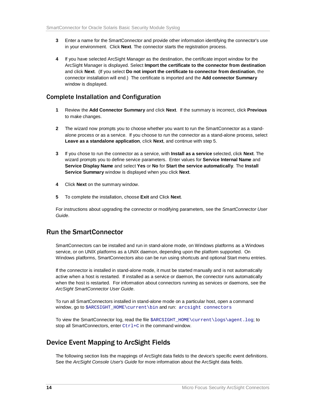- **3** Enter a name for the SmartConnector and provide other information identifying the connector's use in your environment. Click **Next**. The connector starts the registration process.
- **4** If you have selected ArcSight Manager as the destination, the certificate import window for the ArcSight Manager is displayed. Select **Import the certificate to the connector from destination** and click **Next**. (If you select **Do not import the certificate to connector from destination**, the connector installation will end.) The certificate is imported and the **Add connector Summary** window is displayed.

# Complete Installation and Configuration

- **1** Review the **Add Connector Summary** and click **Next**. If the summary is incorrect, click **Previous** to make changes.
- **2** The wizard now prompts you to choose whether you want to run the SmartConnector as a standalone process or as a service. If you choose to run the connector as a stand-alone process, select **Leave as a standalone application**, click **Next**, and continue with step 5.
- **3** If you chose to run the connector as a service, with **Install as a service** selected, click **Next**. The wizard prompts you to define service parameters. Enter values for **Service Internal Name** and **Service Display Name** and select **Yes** or **No** for **Start the service automatically**. The **Install Service Summary** window is displayed when you click **Next**.
- **4** Click **Next** on the summary window.
- **5** To complete the installation, choose **Exit** and Click **Next**.

For instructions about upgrading the connector or modifying parameters, see the *SmartConnector User Guide*.

# Run the SmartConnector

SmartConnectors can be installed and run in stand-alone mode, on Windows platforms as a Windows service, or on UNIX platforms as a UNIX daemon, depending upon the platform supported. On Windows platforms, SmartConnectors also can be run using shortcuts and optional Start menu entries.

If the connector is installed in stand-alone mode, it must be started manually and is not automatically active when a host is restarted. If installed as a service or daemon, the connector runs automatically when the host is restarted. For information about connectors running as services or daemons, see the *ArcSight SmartConnector User Guide*.

To run all SmartConnectors installed in stand-alone mode on a particular host, open a command window, go to \$ARCSIGHT\_HOME\current\bin and run: arcsight connectors

To view the SmartConnector log, read the file SARCSIGHT\_HOME\current\logs\agent.log; to stop all SmartConnectors, enter  $Ctr1+C$  in the command window.

# Device Event Mapping to ArcSight Fields

The following section lists the mappings of ArcSight data fields to the device's specific event definitions. See the *ArcSight Console User's Guide* for more information about the ArcSight data fields.